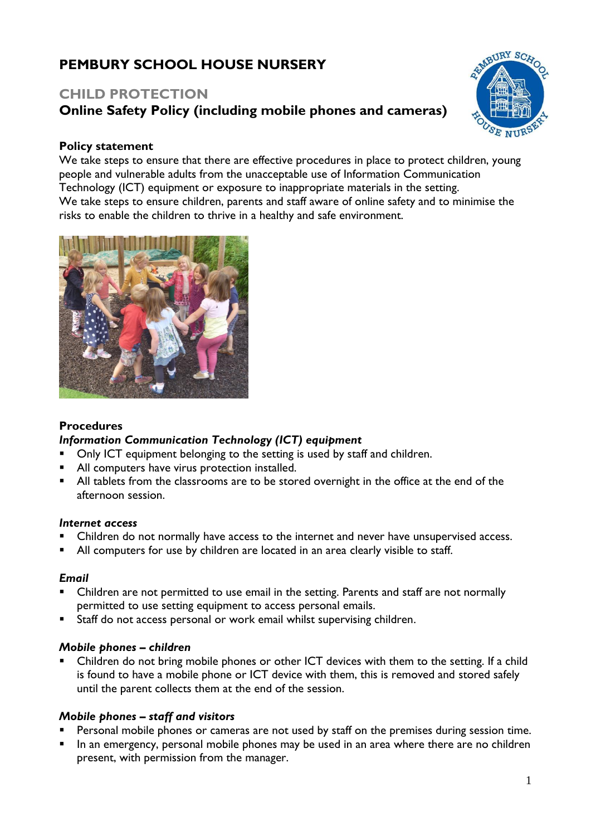# **PEMBURY SCHOOL HOUSE NURSERY**

## **CHILD PROTECTION Online Safety Policy (including mobile phones and cameras)**



## **Policy statement**

We take steps to ensure that there are effective procedures in place to protect children, young people and vulnerable adults from the unacceptable use of Information Communication Technology (ICT) equipment or exposure to inappropriate materials in the setting. We take steps to ensure children, parents and staff aware of online safety and to minimise the risks to enable the children to thrive in a healthy and safe environment.



## **Procedures**

## *Information Communication Technology (ICT) equipment*

- Only ICT equipment belonging to the setting is used by staff and children.
- All computers have virus protection installed.
- All tablets from the classrooms are to be stored overnight in the office at the end of the afternoon session.

#### *Internet access*

- Children do not normally have access to the internet and never have unsupervised access.
- All computers for use by children are located in an area clearly visible to staff.

#### *Email*

- Children are not permitted to use email in the setting. Parents and staff are not normally permitted to use setting equipment to access personal emails.
- Staff do not access personal or work email whilst supervising children.

#### *Mobile phones – children*

Children do not bring mobile phones or other ICT devices with them to the setting. If a child is found to have a mobile phone or ICT device with them, this is removed and stored safely until the parent collects them at the end of the session.

#### *Mobile phones – staff and visitors*

- Personal mobile phones or cameras are not used by staff on the premises during session time.
- In an emergency, personal mobile phones may be used in an area where there are no children present, with permission from the manager.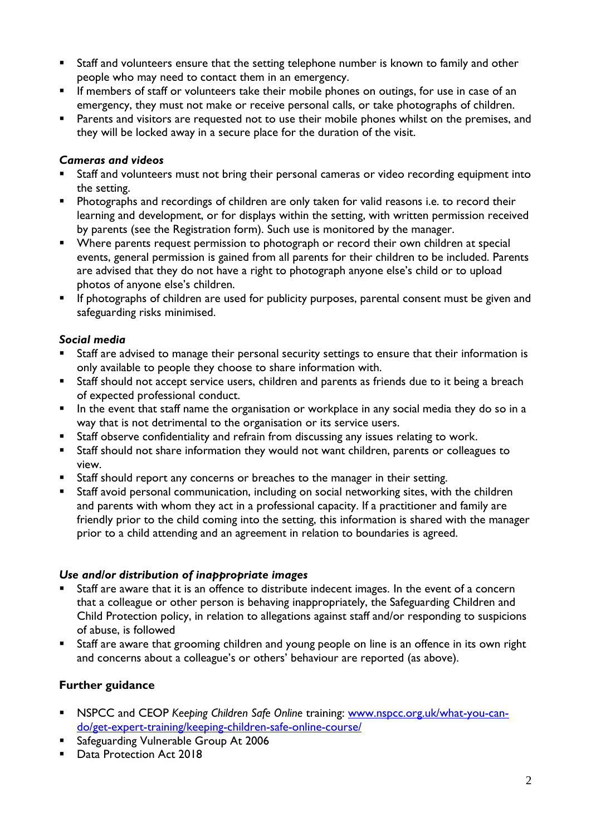- Staff and volunteers ensure that the setting telephone number is known to family and other people who may need to contact them in an emergency.
- **EXP** If members of staff or volunteers take their mobile phones on outings, for use in case of an emergency, they must not make or receive personal calls, or take photographs of children.
- **EXECT** Parents and visitors are requested not to use their mobile phones whilst on the premises, and they will be locked away in a secure place for the duration of the visit.

## *Cameras and videos*

- Staff and volunteers must not bring their personal cameras or video recording equipment into the setting.
- **EXPEDENT Photographs and recordings of children are only taken for valid reasons i.e. to record their** learning and development, or for displays within the setting, with written permission received by parents (see the Registration form). Such use is monitored by the manager.
- Where parents request permission to photograph or record their own children at special events, general permission is gained from all parents for their children to be included. Parents are advised that they do not have a right to photograph anyone else's child or to upload photos of anyone else's children.
- **E** If photographs of children are used for publicity purposes, parental consent must be given and safeguarding risks minimised.

## *Social media*

- Staff are advised to manage their personal security settings to ensure that their information is only available to people they choose to share information with.
- Staff should not accept service users, children and parents as friends due to it being a breach of expected professional conduct.
- **•** In the event that staff name the organisation or workplace in any social media they do so in a way that is not detrimental to the organisation or its service users.
- Staff observe confidentiality and refrain from discussing any issues relating to work.
- Staff should not share information they would not want children, parents or colleagues to view.
- Staff should report any concerns or breaches to the manager in their setting.
- Staff avoid personal communication, including on social networking sites, with the children and parents with whom they act in a professional capacity. If a practitioner and family are friendly prior to the child coming into the setting, this information is shared with the manager prior to a child attending and an agreement in relation to boundaries is agreed.

## *Use and/or distribution of inappropriate images*

- Staff are aware that it is an offence to distribute indecent images. In the event of a concern that a colleague or other person is behaving inappropriately, the Safeguarding Children and Child Protection policy, in relation to allegations against staff and/or responding to suspicions of abuse, is followed
- Staff are aware that grooming children and young people on line is an offence in its own right and concerns about a colleague's or others' behaviour are reported (as above).

## **Further guidance**

- **EXEC 25 INSPCC and CEOP** Keeping Children Safe Online training: [www.nspcc.org.uk/what-you-can](http://www.nspcc.org.uk/what-you-can-do/get-expert-training/keeping-children-safe-online-course/)[do/get-expert-training/keeping-children-safe-online-course/](http://www.nspcc.org.uk/what-you-can-do/get-expert-training/keeping-children-safe-online-course/)
- Safeguarding Vulnerable Group At 2006
- Data Protection Act 2018